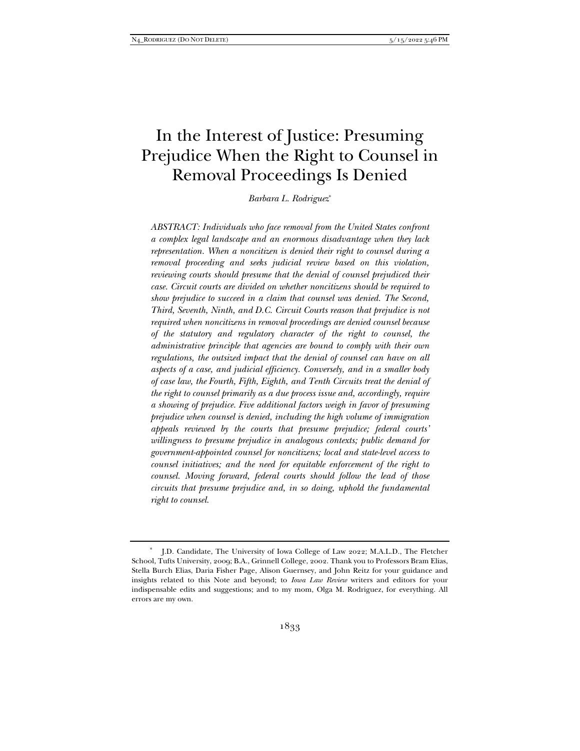# In the Interest of Justice: Presuming Prejudice When the Right to Counsel in Removal Proceedings Is Denied

*Barbara L. Rodriguez*\*

*ABSTRACT: Individuals who face removal from the United States confront a complex legal landscape and an enormous disadvantage when they lack representation. When a noncitizen is denied their right to counsel during a removal proceeding and seeks judicial review based on this violation, reviewing courts should presume that the denial of counsel prejudiced their case. Circuit courts are divided on whether noncitizens should be required to show prejudice to succeed in a claim that counsel was denied. The Second, Third, Seventh, Ninth, and D.C. Circuit Courts reason that prejudice is not required when noncitizens in removal proceedings are denied counsel because of the statutory and regulatory character of the right to counsel, the administrative principle that agencies are bound to comply with their own regulations, the outsized impact that the denial of counsel can have on all aspects of a case, and judicial efficiency. Conversely, and in a smaller body of case law, the Fourth, Fifth, Eighth, and Tenth Circuits treat the denial of the right to counsel primarily as a due process issue and, accordingly, require a showing of prejudice. Five additional factors weigh in favor of presuming prejudice when counsel is denied, including the high volume of immigration appeals reviewed by the courts that presume prejudice; federal courts' willingness to presume prejudice in analogous contexts; public demand for government-appointed counsel for noncitizens; local and state-level access to counsel initiatives; and the need for equitable enforcement of the right to counsel. Moving forward, federal courts should follow the lead of those circuits that presume prejudice and, in so doing, uphold the fundamental right to counsel.* 

<sup>\*</sup> J.D. Candidate, The University of Iowa College of Law 2022; M.A.L.D., The Fletcher School, Tufts University, 2009; B.A., Grinnell College, 2002. Thank you to Professors Bram Elias, Stella Burch Elias, Daria Fisher Page, Alison Guernsey, and John Reitz for your guidance and insights related to this Note and beyond; to *Iowa Law Review* writers and editors for your indispensable edits and suggestions; and to my mom, Olga M. Rodriguez, for everything. All errors are my own.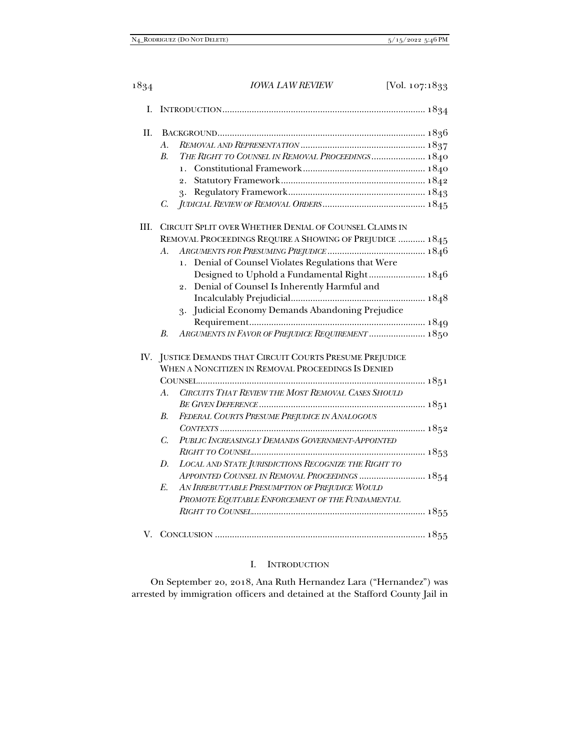| I.   |                                                                     |  |
|------|---------------------------------------------------------------------|--|
| Π.   |                                                                     |  |
|      | A.                                                                  |  |
|      | THE RIGHT TO COUNSEL IN REMOVAL PROCEEDINGS  1840<br>B <sub>r</sub> |  |
|      |                                                                     |  |
|      |                                                                     |  |
|      | 3.                                                                  |  |
|      | C.                                                                  |  |
| III. | CIRCUIT SPLIT OVER WHETHER DENIAL OF COUNSEL CLAIMS IN              |  |
|      | REMOVAL PROCEEDINGS REQUIRE A SHOWING OF PREJUDICE  1845            |  |
|      | $A$ .                                                               |  |
|      | 1. Denial of Counsel Violates Regulations that Were                 |  |
|      | Designed to Uphold a Fundamental Right 1846                         |  |
|      | Denial of Counsel Is Inherently Harmful and<br>2.                   |  |
|      |                                                                     |  |
|      | 3. Judicial Economy Demands Abandoning Prejudice                    |  |
|      |                                                                     |  |
|      | ARGUMENTS IN FAVOR OF PREJUDICE REQUIREMENT  1850<br>$B$ .          |  |
|      | IV. JUSTICE DEMANDS THAT CIRCUIT COURTS PRESUME PREJUDICE           |  |
|      | WHEN A NONCITIZEN IN REMOVAL PROCEEDINGS IS DENIED                  |  |
|      |                                                                     |  |
|      | CIRCUITS THAT REVIEW THE MOST REMOVAL CASES SHOULD<br>$A_{\cdot}$   |  |
|      |                                                                     |  |
|      | FEDERAL COURTS PRESUME PREJUDICE IN ANALOGOUS<br>$B$ .              |  |
|      |                                                                     |  |
|      | PUBLIC INCREASINGLY DEMANDS GOVERNMENT-APPOINTED<br>$C_{\cdot}$     |  |
|      |                                                                     |  |
|      | LOCAL AND STATE JURISDICTIONS RECOGNIZE THE RIGHT TO<br>D.          |  |
|      | APPOINTED COUNSEL IN REMOVAL PROCEEDINGS  1854                      |  |
|      | AN IRREBUTTABLE PRESUMPTION OF PREJUDICE WOULD<br>E.                |  |
|      | PROMOTE EQUITABLE ENFORCEMENT OF THE FUNDAMENTAL                    |  |
|      |                                                                     |  |
|      |                                                                     |  |

# I. INTRODUCTION

On September 20, 2018, Ana Ruth Hernandez Lara ("Hernandez") was arrested by immigration officers and detained at the Stafford County Jail in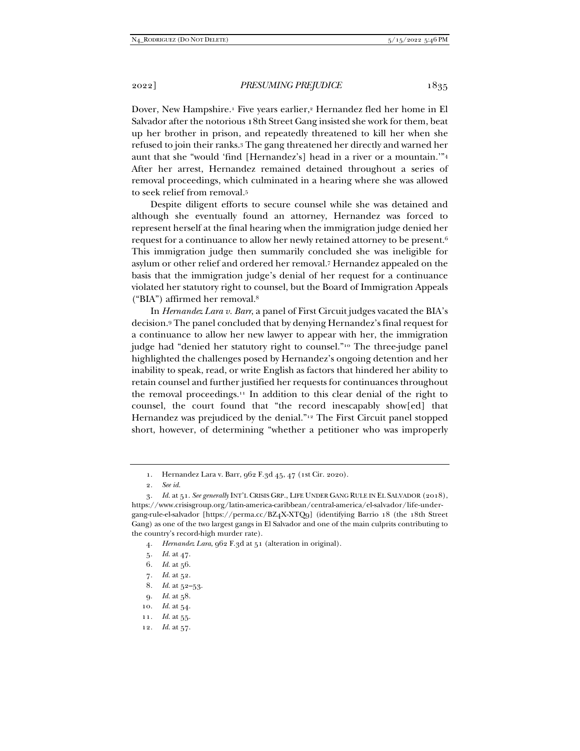Dover, New Hampshire.1 Five years earlier,2 Hernandez fled her home in El Salvador after the notorious 18th Street Gang insisted she work for them, beat up her brother in prison, and repeatedly threatened to kill her when she refused to join their ranks.3 The gang threatened her directly and warned her aunt that she "would 'find [Hernandez's] head in a river or a mountain.'"4 After her arrest, Hernandez remained detained throughout a series of removal proceedings, which culminated in a hearing where she was allowed to seek relief from removal.5

Despite diligent efforts to secure counsel while she was detained and although she eventually found an attorney, Hernandez was forced to represent herself at the final hearing when the immigration judge denied her request for a continuance to allow her newly retained attorney to be present.6 This immigration judge then summarily concluded she was ineligible for asylum or other relief and ordered her removal.7 Hernandez appealed on the basis that the immigration judge's denial of her request for a continuance violated her statutory right to counsel, but the Board of Immigration Appeals ("BIA") affirmed her removal.8

In *Hernandez Lara v. Barr*, a panel of First Circuit judges vacated the BIA's decision.9 The panel concluded that by denying Hernandez's final request for a continuance to allow her new lawyer to appear with her, the immigration judge had "denied her statutory right to counsel."10 The three-judge panel highlighted the challenges posed by Hernandez's ongoing detention and her inability to speak, read, or write English as factors that hindered her ability to retain counsel and further justified her requests for continuances throughout the removal proceedings.<sup>11</sup> In addition to this clear denial of the right to counsel, the court found that "the record inescapably show[ed] that Hernandez was prejudiced by the denial."12 The First Circuit panel stopped short, however, of determining "whether a petitioner who was improperly

- 7*. Id.* at 52.
- 8*. Id.* at 52–53.
- 9*. Id.* at 58.
- 10*. Id.* at 54.
- 11*. Id.* at 55.
- 12*. Id.* at 57.

 <sup>1.</sup> Hernandez Lara v. Barr, 962 F.3d 45, 47 (1st Cir. 2020).

<sup>2</sup>*. See id.*

<sup>3</sup>*. Id.* at 51. *See generally* INT'L CRISIS GRP., LIFE UNDER GANG RULE IN EL SALVADOR (2018), https://www.crisisgroup.org/latin-america-caribbean/central-america/el-salvador/life-undergang-rule-el-salvador [https://perma.cc/BZ4X-XTQ9] (identifying Barrio 18 (the 18th Street Gang) as one of the two largest gangs in El Salvador and one of the main culprits contributing to the country's record-high murder rate).

<sup>4</sup>*. Hernandez Lara*, 962 F.3d at 51 (alteration in original).

<sup>5</sup>*. Id.* at 47.

<sup>6</sup>*. Id.* at 56.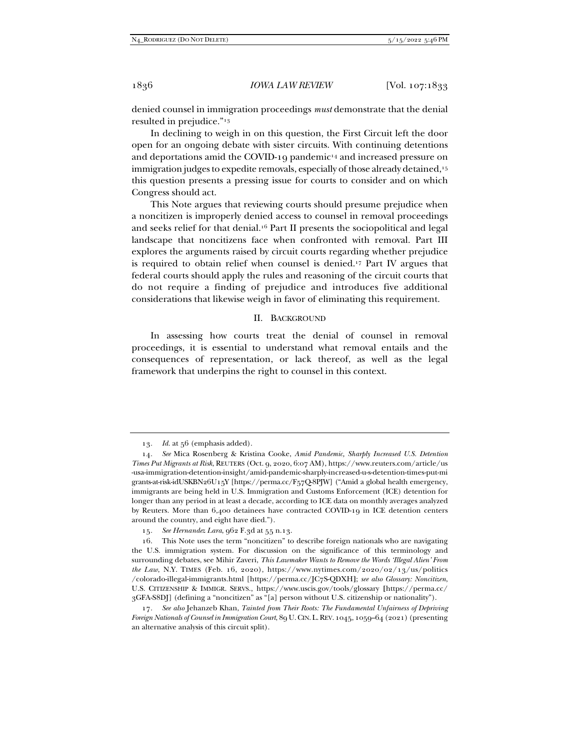denied counsel in immigration proceedings *must* demonstrate that the denial resulted in prejudice."13

In declining to weigh in on this question, the First Circuit left the door open for an ongoing debate with sister circuits. With continuing detentions and deportations amid the COVID-19 pandemic<sup>14</sup> and increased pressure on immigration judges to expedite removals, especially of those already detained,<sup>15</sup> this question presents a pressing issue for courts to consider and on which Congress should act.

This Note argues that reviewing courts should presume prejudice when a noncitizen is improperly denied access to counsel in removal proceedings and seeks relief for that denial.16 Part II presents the sociopolitical and legal landscape that noncitizens face when confronted with removal. Part III explores the arguments raised by circuit courts regarding whether prejudice is required to obtain relief when counsel is denied.17 Part IV argues that federal courts should apply the rules and reasoning of the circuit courts that do not require a finding of prejudice and introduces five additional considerations that likewise weigh in favor of eliminating this requirement.

#### II. BACKGROUND

In assessing how courts treat the denial of counsel in removal proceedings, it is essential to understand what removal entails and the consequences of representation, or lack thereof, as well as the legal framework that underpins the right to counsel in this context.

<sup>13</sup>*. Id.* at 56 (emphasis added).

<sup>14</sup>*. See* Mica Rosenberg & Kristina Cooke, *Amid Pandemic, Sharply Increased U.S. Detention Times Put Migrants at Risk*, REUTERS (Oct. 9, 2020, 6:07 AM), https://www.reuters.com/article/us -usa-immigration-detention-insight/amid-pandemic-sharply-increased-u-s-detention-times-put-mi grants-at-risk-idUSKBN26U15Y [https://perma.cc/F57Q-8PJW] ("Amid a global health emergency, immigrants are being held in U.S. Immigration and Customs Enforcement (ICE) detention for longer than any period in at least a decade, according to ICE data on monthly averages analyzed by Reuters. More than 6,400 detainees have contracted COVID-19 in ICE detention centers around the country, and eight have died.").

<sup>15</sup>*. See Hernandez Lara*, 962 F.3d at 55 n.13.

 <sup>16.</sup> This Note uses the term "noncitizen" to describe foreign nationals who are navigating the U.S. immigration system. For discussion on the significance of this terminology and surrounding debates, see Mihir Zaveri, *This Lawmaker Wants to Remove the Words 'Illegal Alien' From the Law*, N.Y. TIMES (Feb. 16, 2020), https://www.nytimes.com/2020/02/13/us/politics /colorado-illegal-immigrants.html [https://perma.cc/JC7S-QDXH**]**; *see also Glossary: Noncitizen*, U.S. CITIZENSHIP & IMMIGR. SERVS., https://www.uscis.gov/tools/glossary **[**https://perma.cc/ 3GFA-S8DJ] (defining a "noncitizen" as "[a] person without U.S. citizenship or nationality").

<sup>17</sup>*. See also* Jehanzeb Khan, *Tainted from Their Roots: The Fundamental Unfairness of Depriving Foreign Nationals of Counsel in Immigration Court*, 89 U.CIN.L.REV. 1045, 1059–64 (2021) (presenting an alternative analysis of this circuit split).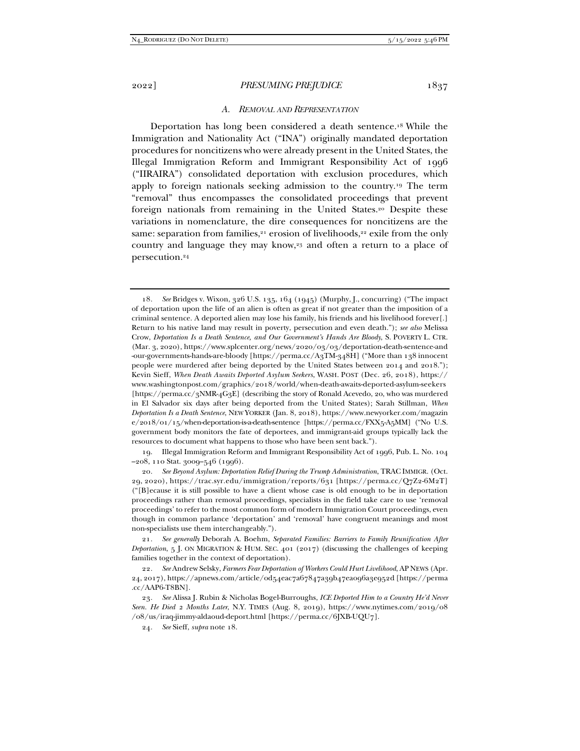#### *A. REMOVAL AND REPRESENTATION*

Deportation has long been considered a death sentence.18 While the Immigration and Nationality Act ("INA") originally mandated deportation procedures for noncitizens who were already present in the United States, the Illegal Immigration Reform and Immigrant Responsibility Act of 1996 ("IIRAIRA") consolidated deportation with exclusion procedures, which apply to foreign nationals seeking admission to the country.19 The term "removal" thus encompasses the consolidated proceedings that prevent foreign nationals from remaining in the United States.20 Despite these variations in nomenclature, the dire consequences for noncitizens are the same: separation from families, $21$  erosion of livelihoods, $22$  exile from the only country and language they may know,<sup>23</sup> and often a return to a place of persecution.24

 19. Illegal Immigration Reform and Immigrant Responsibility Act of 1996, Pub. L. No. 104 –208, 110 Stat. 3009–546 (1996).

21*. See generally* Deborah A. Boehm, *Separated Families: Barriers to Family Reunification After Deportation*, 5 J. ON MIGRATION & HUM. SEC. 401 (2017) (discussing the challenges of keeping families together in the context of deportation).

24*. See* Sieff, *supra* note 18.

<sup>18</sup>*. See* Bridges v. Wixon, 326 U.S. 135, 164 (1945) (Murphy, J., concurring) ("The impact of deportation upon the life of an alien is often as great if not greater than the imposition of a criminal sentence. A deported alien may lose his family, his friends and his livelihood forever[.] Return to his native land may result in poverty, persecution and even death."); *see also* Melissa Crow, *Deportation Is a Death Sentence, and Our Government's Hands Are Bloody*, S. POVERTY L. CTR. (Mar. 3, 2020), https://www.splcenter.org/news/2020/03/03/deportation-death-sentence-and -our-governments-hands-are-bloody [https://perma.cc/A3TM-348H] ("More than 138 innocent people were murdered after being deported by the United States between 2014 and 2018."); Kevin Sieff, *When Death Awaits Deported Asylum Seekers*, WASH. POST (Dec. 26, 2018), https:// www.washingtonpost.com/graphics/2018/world/when-death-awaits-deported-asylum-seekers [https://perma.cc/3NMR-4G3E] (describing the story of Ronald Acevedo, 20, who was murdered in El Salvador six days after being deported from the United States); Sarah Stillman, *When Deportation Is a Death Sentence*, NEW YORKER (Jan. 8, 2018), https://www.newyorker.com/magazin e/2018/01/15/when-deportation-is-a-death-sentence [https://perma.cc/FXX5-A5MM] ("No U.S. government body monitors the fate of deportees, and immigrant-aid groups typically lack the resources to document what happens to those who have been sent back.").

<sup>20</sup>*. See Beyond Asylum: Deportation Relief During the Trump Administration*, TRAC IMMIGR. (Oct. 29, 2020), https://trac.syr.edu/immigration/reports/631 [https://perma.cc/Q7Z2-6M2T] ("[B]ecause it is still possible to have a client whose case is old enough to be in deportation proceedings rather than removal proceedings, specialists in the field take care to use 'removal proceedings' to refer to the most common form of modern Immigration Court proceedings, even though in common parlance 'deportation' and 'removal' have congruent meanings and most non-specialists use them interchangeably.").

<sup>22</sup>*. See* Andrew Selsky, *Farmers Fear Deportation of Workers Could Hurt Livelihood*, AP NEWS (Apr. 24, 2017), https://apnews.com/article/0d54eac7a67847a39b47ea096a3e952d [https://perma .cc/AAP6-T8BN].

<sup>23</sup>*. See* Alissa J. Rubin & Nicholas Bogel-Burroughs, *ICE Deported Him to a Country He'd Never Seen. He Died 2 Months Later*, N.Y. TIMES (Aug. 8, 2019), https://www.nytimes.com/2019/08 /08/us/iraq-jimmy-aldaoud-deport.html [https://perma.cc/6JXB-UQU7].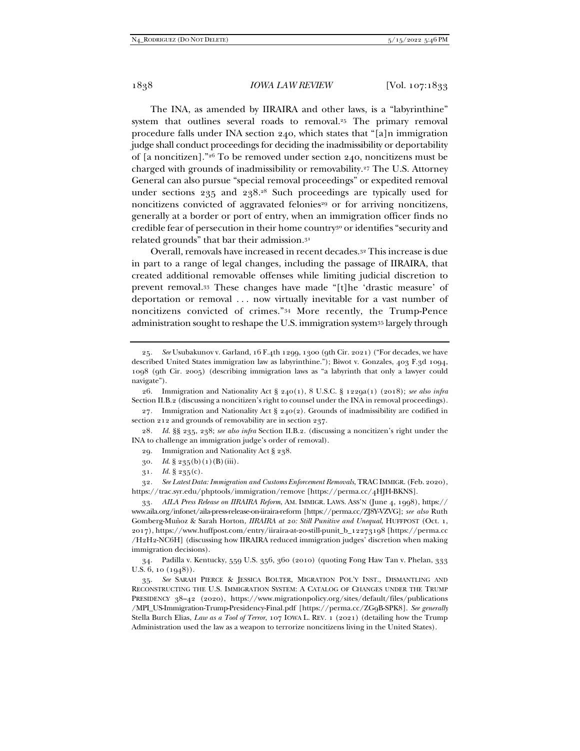The INA, as amended by IIRAIRA and other laws, is a "labyrinthine" system that outlines several roads to removal.<sup>25</sup> The primary removal procedure falls under INA section 240, which states that "[a]n immigration judge shall conduct proceedings for deciding the inadmissibility or deportability of [a noncitizen]."26 To be removed under section 240, noncitizens must be charged with grounds of inadmissibility or removability.27 The U.S. Attorney General can also pursue "special removal proceedings" or expedited removal under sections 235 and 238.28 Such proceedings are typically used for noncitizens convicted of aggravated felonies<sup>29</sup> or for arriving noncitizens, generally at a border or port of entry, when an immigration officer finds no credible fear of persecution in their home country<sup>30</sup> or identifies "security and related grounds" that bar their admission.31

Overall, removals have increased in recent decades.32 This increase is due in part to a range of legal changes, including the passage of IIRAIRA, that created additional removable offenses while limiting judicial discretion to prevent removal.33 These changes have made "[t]he 'drastic measure' of deportation or removal . . . now virtually inevitable for a vast number of noncitizens convicted of crimes."34 More recently, the Trump-Pence administration sought to reshape the U.S. immigration system35 largely through

27*.* Immigration and Nationality Act § 240(2). Grounds of inadmissibility are codified in section 212 and grounds of removability are in section 237.

28*. Id.* §§ 235, 238; *see also infra* Section II.B.2. (discussing a noncitizen's right under the INA to challenge an immigration judge's order of removal).

29*.* Immigration and Nationality Act § 238.

- 30*. Id*. § 235(b)(1)(B)(iii).
- 31*. Id.* § 235(c).

32*. See Latest Data: Immigration and Customs Enforcement Removals*, TRAC IMMIGR. (Feb. 2020), https://trac.syr.edu/phptools/immigration/remove [https://perma.cc/4HJH-BKNS].

33*. AILA Press Release on IIRAIRA Reform*, AM. IMMIGR. LAWS. ASS'N (June 4, 1998), https:// www.aila.org/infonet/aila-press-release-on-iiraira-reform [https://perma.cc/ZJ8Y-VZVG]; *see also* Ruth Gomberg-Muñoz & Sarah Horton, *IIRAIRA at 20: Still Punitive and Unequal*, HUFFPOST (Oct. 1, 2017), https://www.huffpost.com/entry/iiraira-at-20-still-punit\_b\_12273198 [https://perma.cc /H2H2-NC6H] (discussing how IIRAIRA reduced immigration judges' discretion when making immigration decisions).

 34. Padilla v. Kentucky, 559 U.S. 356, 360 (2010) (quoting Fong Haw Tan v. Phelan, 333 U.S. 6, 10 (1948)).

 35. *See* SARAH PIERCE & JESSICA BOLTER, MIGRATION POL'Y INST., DISMANTLING AND RECONSTRUCTING THE U.S. IMMIGRATION SYSTEM: A CATALOG OF CHANGES UNDER THE TRUMP PRESIDENCY 38–42 (2020), https://www.migrationpolicy.org/sites/default/files/publications /MPI\_US-Immigration-Trump-Presidency-Final.pdf [https://perma.cc/ZG9B-SPK8]. *See generally* Stella Burch Elias, *Law as a Tool of Terror*, 107 IOWA L. REV. 1 (2021) (detailing how the Trump Administration used the law as a weapon to terrorize noncitizens living in the United States).

<sup>25</sup>*. See* Usubakunov v. Garland, 16 F.4th 1299, 1300 (9th Cir. 2021) ("For decades, we have described United States immigration law as labyrinthine."); Biwot v. Gonzales, 403 F.3d 1094, 1098 (9th Cir. 2005) (describing immigration laws as "a labyrinth that only a lawyer could navigate").

 <sup>26.</sup> Immigration and Nationality Act § 240(1), 8 U.S.C. § 1229a(1) (2018); *see also infra* Section II.B.2 (discussing a noncitizen's right to counsel under the INA in removal proceedings).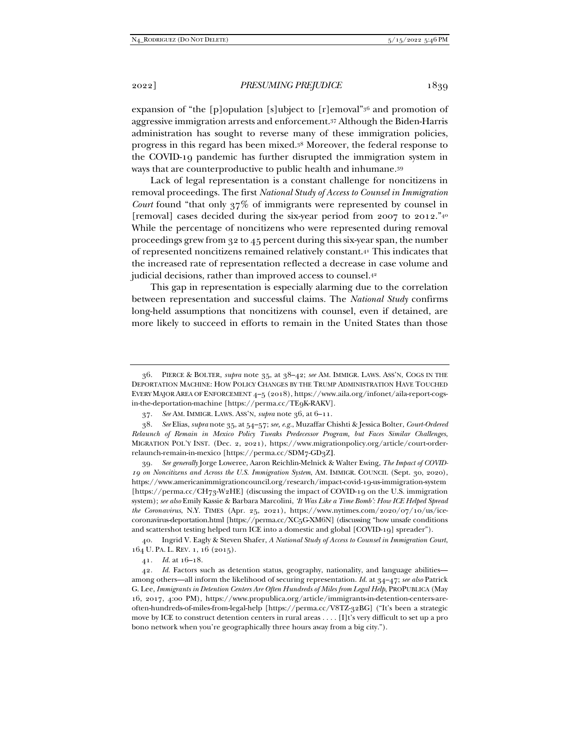expansion of "the [p]opulation [s]ubject to [r]emoval"36 and promotion of aggressive immigration arrests and enforcement.37 Although the Biden-Harris administration has sought to reverse many of these immigration policies, progress in this regard has been mixed.38 Moreover, the federal response to the COVID-19 pandemic has further disrupted the immigration system in ways that are counterproductive to public health and inhumane.39

Lack of legal representation is a constant challenge for noncitizens in removal proceedings. The first *National Study of Access to Counsel in Immigration Court* found "that only 37% of immigrants were represented by counsel in [removal] cases decided during the six-year period from 2007 to 2012.<sup>"40</sup> While the percentage of noncitizens who were represented during removal proceedings grew from 32 to 45 percent during this six-year span, the number of represented noncitizens remained relatively constant.41 This indicates that the increased rate of representation reflected a decrease in case volume and judicial decisions, rather than improved access to counsel.42

This gap in representation is especially alarming due to the correlation between representation and successful claims. The *National Study* confirms long-held assumptions that noncitizens with counsel, even if detained, are more likely to succeed in efforts to remain in the United States than those

 38. *See* Elias, *supra* note 35, at 54–57; *see, e.g.*, Muzaffar Chishti & Jessica Bolter, *Court-Ordered Relaunch of Remain in Mexico Policy Tweaks Predecessor Program, but Faces Similar Challenges*, MIGRATION POL'Y INST. (Dec. 2, 2021), https://www.migrationpolicy.org/article/court-orderrelaunch-remain-in-mexico [https://perma.cc/SDM7-GD3Z**]**.

39*. See generally* Jorge Loweree, Aaron Reichlin-Melnick & Walter Ewing, *The Impact of COVID-19 on Noncitizens and Across the U.S. Immigration System*, AM. IMMIGR. COUNCIL (Sept. 30, 2020), https://www.americanimmigrationcouncil.org/research/impact-covid-19-us-immigration-system [https://perma.cc/CH73-W2HE] (discussing the impact of COVID-19 on the U.S. immigration system); *see also* Emily Kassie & Barbara Marcolini, *'It Was Like a Time Bomb': How ICE Helped Spread the Coronavirus*, N.Y. TIMES (Apr. 25, 2021), https://www.nytimes.com/2020/07/10/us/icecoronavirus-deportation.html [https://perma.cc/XC5G-XM6N] (discussing "how unsafe conditions and scattershot testing helped turn ICE into a domestic and global [COVID-19] spreader").

 40. Ingrid V. Eagly & Steven Shafer, *A National Study of Access to Counsel in Immigration Court*, 164 U. PA. L. REV. 1, 16 (2015).

41*. Id.* at 16–18.

 <sup>36.</sup> PIERCE & BOLTER, *supra* note 35, at 38–42; *see* AM. IMMIGR. LAWS. ASS'N, COGS IN THE DEPORTATION MACHINE: HOW POLICY CHANGES BY THE TRUMP ADMINISTRATION HAVE TOUCHED EVERY MAJOR AREA OF ENFORCEMENT 4–5 (2018), https://www.aila.org/infonet/aila-report-cogsin-the-deportation-machine [https://perma.cc/TE9K-RAKV].

 <sup>37.</sup> *See* AM. IMMIGR. LAWS. ASS'N, *supra* note 36, at 6–11.

<sup>42</sup>*. Id.* Factors such as detention status, geography, nationality, and language abilities among others—all inform the likelihood of securing representation. *Id.* at 34–47; *see also* Patrick G. Lee, *Immigrants in Detention Centers Are Often Hundreds of Miles from Legal Help*, PROPUBLICA (May 16, 2017, 4:00 PM), https://www.propublica.org/article/immigrants-in-detention-centers-areoften-hundreds-of-miles-from-legal-help [https://perma.cc/V8TZ-32BG] ("It's been a strategic move by ICE to construct detention centers in rural areas . . . . [I]t's very difficult to set up a pro bono network when you're geographically three hours away from a big city.").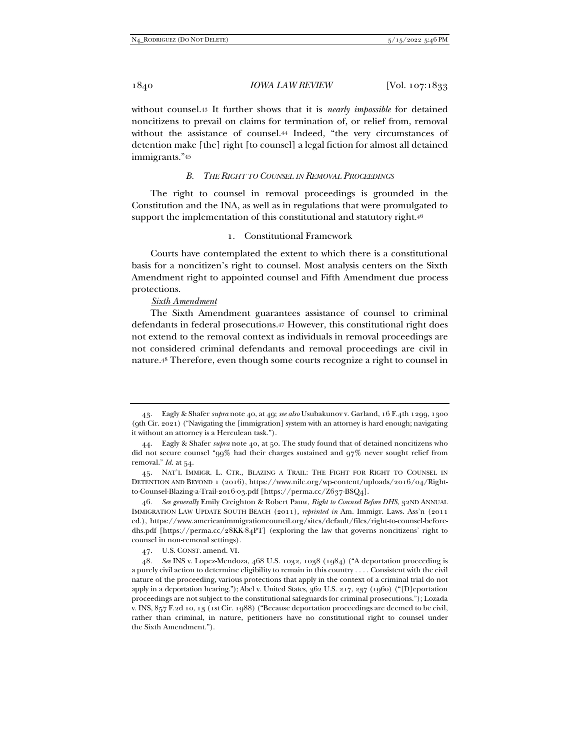without counsel.43 It further shows that it is *nearly impossible* for detained noncitizens to prevail on claims for termination of, or relief from, removal without the assistance of counsel.44 Indeed, "the very circumstances of detention make [the] right [to counsel] a legal fiction for almost all detained immigrants."45

## *B. THE RIGHT TO COUNSEL IN REMOVAL PROCEEDINGS*

The right to counsel in removal proceedings is grounded in the Constitution and the INA, as well as in regulations that were promulgated to support the implementation of this constitutional and statutory right.<sup>46</sup>

## 1. Constitutional Framework

Courts have contemplated the extent to which there is a constitutional basis for a noncitizen's right to counsel. Most analysis centers on the Sixth Amendment right to appointed counsel and Fifth Amendment due process protections.

#### *Sixth Amendment*

The Sixth Amendment guarantees assistance of counsel to criminal defendants in federal prosecutions.47 However, this constitutional right does not extend to the removal context as individuals in removal proceedings are not considered criminal defendants and removal proceedings are civil in nature.48 Therefore, even though some courts recognize a right to counsel in

46*. See generally* Emily Creighton & Robert Pauw, *Right to Counsel Before DHS*, 32ND ANNUAL IMMIGRATION LAW UPDATE SOUTH BEACH (2011), *reprinted in* Am. Immigr. Laws. Ass'n (2011 ed.), https://www.americanimmigrationcouncil.org/sites/default/files/right-to-counsel-beforedhs.pdf [https://perma.cc/28KK-84PT] (exploring the law that governs noncitizens' right to counsel in non-removal settings).

 <sup>43.</sup> Eagly & Shafer *supra* note 40, at 49; *see also* Usubakunov v. Garland, 16 F.4th 1299, 1300 (9th Cir. 2021) ("Navigating the [immigration] system with an attorney is hard enough; navigating it without an attorney is a Herculean task.").

 <sup>44.</sup> Eagly & Shafer *supra* note 40, at 50. The study found that of detained noncitizens who did not secure counsel "99% had their charges sustained and 97% never sought relief from removal." *Id.* at 54.

 <sup>45.</sup> NAT'L IMMIGR. L. CTR., BLAZING A TRAIL: THE FIGHT FOR RIGHT TO COUNSEL IN DETENTION AND BEYOND 1 (2016), https://www.nilc.org/wp-content/uploads/2016/04/Rightto-Counsel-Blazing-a-Trail-2016-03.pdf [https://perma.cc/Z637-BSQ4].

 <sup>47.</sup> U.S. CONST. amend. VI.

<sup>48</sup>*. See* INS v. Lopez-Mendoza, 468 U.S. 1032, 1038 (1984) ("A deportation proceeding is a purely civil action to determine eligibility to remain in this country . . . . Consistent with the civil nature of the proceeding, various protections that apply in the context of a criminal trial do not apply in a deportation hearing."); Abel v. United States, 362 U.S. 217, 237 (1960) ("[D]eportation proceedings are not subject to the constitutional safeguards for criminal prosecutions."); Lozada v. INS, 857 F.2d 10, 13 (1st Cir. 1988) ("Because deportation proceedings are deemed to be civil, rather than criminal, in nature, petitioners have no constitutional right to counsel under the Sixth Amendment.").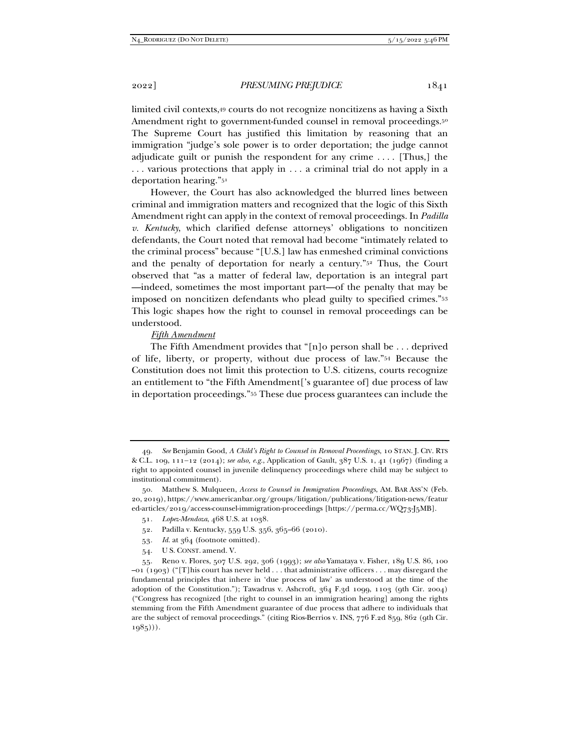limited civil contexts,49 courts do not recognize noncitizens as having a Sixth Amendment right to government-funded counsel in removal proceedings.<sup>50</sup> The Supreme Court has justified this limitation by reasoning that an immigration "judge's sole power is to order deportation; the judge cannot adjudicate guilt or punish the respondent for any crime . . . . [Thus,] the . . . various protections that apply in . . . a criminal trial do not apply in a deportation hearing."51

However, the Court has also acknowledged the blurred lines between criminal and immigration matters and recognized that the logic of this Sixth Amendment right can apply in the context of removal proceedings. In *Padilla v. Kentucky*, which clarified defense attorneys' obligations to noncitizen defendants, the Court noted that removal had become "intimately related to the criminal process" because "[U.S.] law has enmeshed criminal convictions and the penalty of deportation for nearly a century."52 Thus, the Court observed that "as a matter of federal law, deportation is an integral part —indeed, sometimes the most important part—of the penalty that may be imposed on noncitizen defendants who plead guilty to specified crimes."53 This logic shapes how the right to counsel in removal proceedings can be understood.

## *Fifth Amendment*

The Fifth Amendment provides that "[n]o person shall be . . . deprived of life, liberty, or property, without due process of law."54 Because the Constitution does not limit this protection to U.S. citizens, courts recognize an entitlement to "the Fifth Amendment['s guarantee of] due process of law in deportation proceedings."55 These due process guarantees can include the

- 52. Padilla v. Kentucky, 559 U.S. 356, 365–66 (2010).
- 53*. Id.* at 364 (footnote omitted).
- 54. U S. CONST. amend. V.

 <sup>49.</sup> *See* Benjamin Good, *A Child's Right to Counsel in Removal Proceedings*, 10 STAN. J. CIV. RTS & C.L. 109, 11112 (2014); *see also, e.g.*, Application of Gault, 387 U.S. 1, 41 (1967) (finding a right to appointed counsel in juvenile delinquency proceedings where child may be subject to institutional commitment).

 <sup>50.</sup> Matthew S. Mulqueen, *Access to Counsel in Immigration Proceedings*, AM. BAR ASS'N (Feb. 20, 2019), https://www.americanbar.org/groups/litigation/publications/litigation-news/featur ed-articles/2019/access-counsel-immigration-proceedings [https://perma.cc/WQ73-J5MB].

<sup>51</sup>*. Lopez-Mendoza*, 468 U.S. at 1038.

 <sup>55.</sup> Reno v. Flores, 507 U.S. 292, 306 (1993); *see also* Yamataya v. Fisher, 189 U.S. 86, 100 –01 (1903) ("[T]his court has never held . . . that administrative officers . . . may disregard the fundamental principles that inhere in 'due process of law' as understood at the time of the adoption of the Constitution."); Tawadrus v. Ashcroft, 364 F.3d 1099, 1103 (9th Cir. 2004) ("Congress has recognized [the right to counsel in an immigration hearing] among the rights stemming from the Fifth Amendment guarantee of due process that adhere to individuals that are the subject of removal proceedings." (citing Rios-Berrios v. INS, 776 F.2d 859, 862 (9th Cir.  $1985$ ))).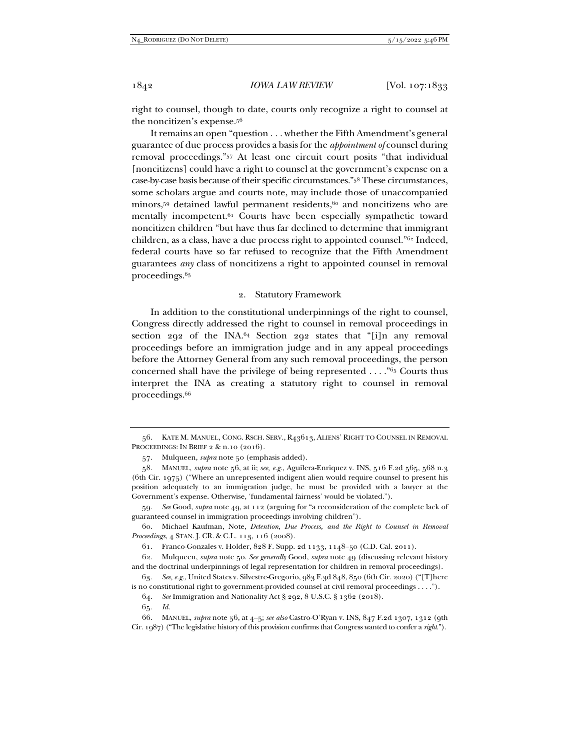right to counsel, though to date, courts only recognize a right to counsel at the noncitizen's expense.56

It remains an open "question . . . whether the Fifth Amendment's general guarantee of due process provides a basis for the *appointment of* counsel during removal proceedings."57 At least one circuit court posits "that individual [noncitizens] could have a right to counsel at the government's expense on a case-by-case basis because of their specific circumstances."58 These circumstances, some scholars argue and courts note, may include those of unaccompanied minors,<sup>59</sup> detained lawful permanent residents,<sup>60</sup> and noncitizens who are mentally incompetent.61 Courts have been especially sympathetic toward noncitizen children "but have thus far declined to determine that immigrant children, as a class, have a due process right to appointed counsel."62 Indeed, federal courts have so far refused to recognize that the Fifth Amendment guarantees *any* class of noncitizens a right to appointed counsel in removal proceedings.63

## 2. Statutory Framework

In addition to the constitutional underpinnings of the right to counsel, Congress directly addressed the right to counsel in removal proceedings in section 292 of the INA.64 Section 292 states that "[i]n any removal proceedings before an immigration judge and in any appeal proceedings before the Attorney General from any such removal proceedings, the person concerned shall have the privilege of being represented . . . ."65 Courts thus interpret the INA as creating a statutory right to counsel in removal proceedings.66

 <sup>56.</sup> KATE M. MANUEL, CONG. RSCH. SERV., R43613, ALIENS' RIGHT TO COUNSEL IN REMOVAL PROCEEDINGS: IN BRIEF 2 & n.10 (2016).

 <sup>57.</sup> Mulqueen, *supra* note 50 (emphasis added).

 <sup>58.</sup> MANUEL, *supra* note 56, at ii; *see, e.g.*, Aguilera-Enriquez v. INS, 516 F.2d 565, 568 n.3 (6th Cir. 1975) ("Where an unrepresented indigent alien would require counsel to present his position adequately to an immigration judge, he must be provided with a lawyer at the Government's expense. Otherwise, 'fundamental fairness' would be violated.").

<sup>59</sup>*. See* Good, *supra* note 49, at 112 (arguing for "a reconsideration of the complete lack of guaranteed counsel in immigration proceedings involving children").

 <sup>60.</sup> Michael Kaufman, Note, *Detention, Due Process, and the Right to Counsel in Removal Proceedings*, 4 STAN. J. CR. & C.L. 113, 116 (2008).

 <sup>61.</sup> Franco-Gonzales v. Holder, 828 F. Supp. 2d 1133, 1148–50 (C.D. Cal. 2011).

 <sup>62.</sup> Mulqueen, *supra* note 50. *See generally* Good, *supra* note 49 (discussing relevant history and the doctrinal underpinnings of legal representation for children in removal proceedings).

<sup>63</sup>*. See, e.g.*, United States v. Silvestre-Gregorio, 983 F.3d 848, 850 (6th Cir. 2020) ("[T]here is no constitutional right to government-provided counsel at civil removal proceedings . . . .").

 <sup>64.</sup> *See* Immigration and Nationality Act § 292, 8 U.S.C. § 1362 (2018).

<sup>65</sup>*. Id.*

 <sup>66.</sup> MANUEL, *supra* note 56, at 4–5; *see also* Castro-O'Ryan v. INS, 847 F.2d 1307, 1312 (9th Cir. 1987) ("The legislative history of this provision confirms that Congress wanted to confer a *right*.").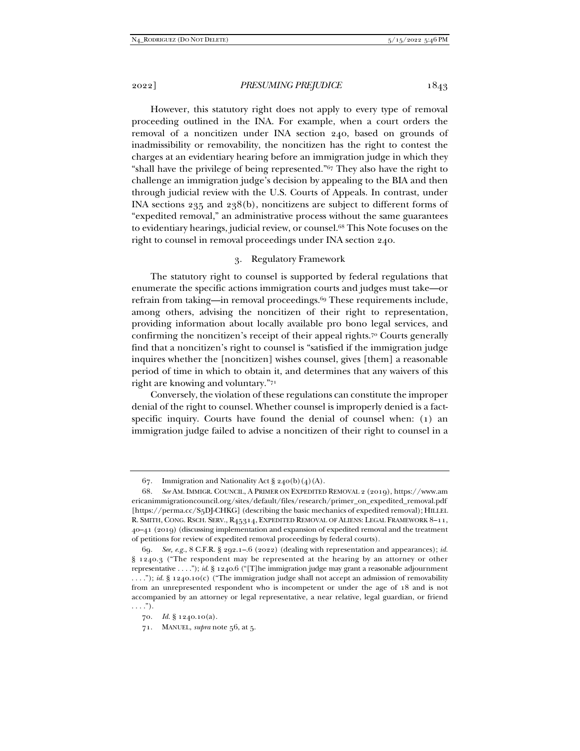However, this statutory right does not apply to every type of removal proceeding outlined in the INA. For example, when a court orders the removal of a noncitizen under INA section 240, based on grounds of inadmissibility or removability, the noncitizen has the right to contest the charges at an evidentiary hearing before an immigration judge in which they "shall have the privilege of being represented."67 They also have the right to challenge an immigration judge's decision by appealing to the BIA and then through judicial review with the U.S. Courts of Appeals. In contrast, under INA sections 235 and 238(b), noncitizens are subject to different forms of "expedited removal," an administrative process without the same guarantees to evidentiary hearings, judicial review, or counsel.68 This Note focuses on the right to counsel in removal proceedings under INA section 240.

## 3. Regulatory Framework

The statutory right to counsel is supported by federal regulations that enumerate the specific actions immigration courts and judges must take—or refrain from taking—in removal proceedings.69 These requirements include, among others, advising the noncitizen of their right to representation, providing information about locally available pro bono legal services, and confirming the noncitizen's receipt of their appeal rights.70 Courts generally find that a noncitizen's right to counsel is "satisfied if the immigration judge inquires whether the [noncitizen] wishes counsel, gives [them] a reasonable period of time in which to obtain it, and determines that any waivers of this right are knowing and voluntary."71

Conversely, the violation of these regulations can constitute the improper denial of the right to counsel. Whether counsel is improperly denied is a factspecific inquiry. Courts have found the denial of counsel when: (1) an immigration judge failed to advise a noncitizen of their right to counsel in a

<sup>67.</sup> Immigration and Nationality Act  $\S$  240(b)(4)(A).

 <sup>68.</sup> *See* AM. IMMIGR. COUNCIL, A PRIMER ON EXPEDITED REMOVAL 2 (2019), https://www.am ericanimmigrationcouncil.org/sites/default/files/research/primer\_on\_expedited\_removal.pdf [https://perma.cc/S5DJ-CHKG] (describing the basic mechanics of expedited removal); HILLEL R. SMITH, CONG. RSCH. SERV., R45314, EXPEDITED REMOVAL OF ALIENS: LEGAL FRAMEWORK 8–11, 40–41 (2019) (discussing implementation and expansion of expedited removal and the treatment of petitions for review of expedited removal proceedings by federal courts).

<sup>69</sup>*. See, e.g.*, 8 C.F.R. § 292.1–.6 (2022) (dealing with representation and appearances); *id.* § 1240.3 ("The respondent may be represented at the hearing by an attorney or other representative . . . ."); *id.* § 1240.6 ("[T]he immigration judge may grant a reasonable adjournment . . . ."); *id.* § 1240.10(c) ("The immigration judge shall not accept an admission of removability from an unrepresented respondent who is incompetent or under the age of 18 and is not accompanied by an attorney or legal representative, a near relative, legal guardian, or friend  $\ldots$ ").

<sup>70</sup>*. Id.* § 1240.10(a).

 <sup>71.</sup> MANUEL, *supra* note 56, at 5.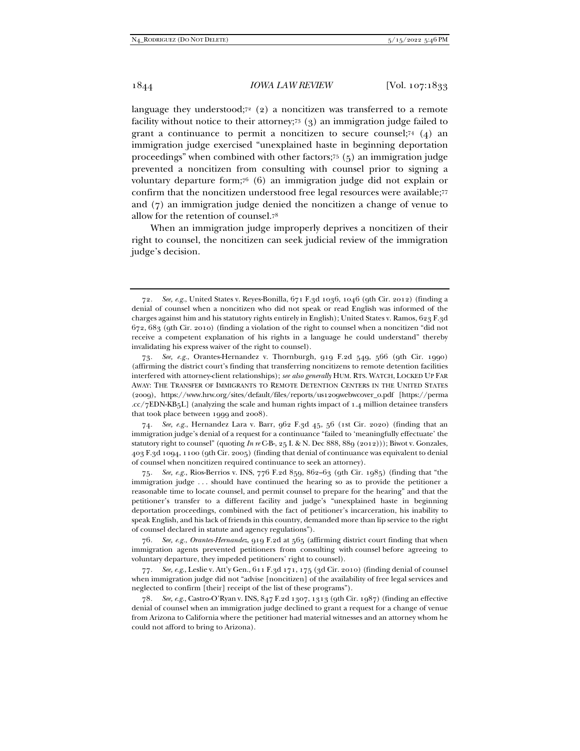language they understood; $7^2$  (2) a noncitizen was transferred to a remote facility without notice to their attorney;73 (3) an immigration judge failed to grant a continuance to permit a noncitizen to secure counsel;<sup>74</sup>  $(4)$  an immigration judge exercised "unexplained haste in beginning deportation proceedings" when combined with other factors;75 (5) an immigration judge prevented a noncitizen from consulting with counsel prior to signing a voluntary departure form;76 (6) an immigration judge did not explain or confirm that the noncitizen understood free legal resources were available;77 and (7) an immigration judge denied the noncitizen a change of venue to allow for the retention of counsel.78

When an immigration judge improperly deprives a noncitizen of their right to counsel, the noncitizen can seek judicial review of the immigration judge's decision.

74*. See, e.g.*, Hernandez Lara v. Barr, 962 F.3d 45, 56 (1st Cir. 2020) (finding that an immigration judge's denial of a request for a continuance "failed to 'meaningfully effectuate' the statutory right to counsel" (quoting *In re* C-B-, 25 I. & N. Dec 888, 889 (2012))); Biwot v. Gonzales, 403 F.3d 1094, 1100 (9th Cir. 2005) (finding that denial of continuance was equivalent to denial of counsel when noncitizen required continuance to seek an attorney).

75*. See, e.g.*, Rios-Berrios v. INS, 776 F.2d 859, 862–63 (9th Cir. 1985) (finding that "the immigration judge . . . should have continued the hearing so as to provide the petitioner a reasonable time to locate counsel, and permit counsel to prepare for the hearing" and that the petitioner's transfer to a different facility and judge's "unexplained haste in beginning deportation proceedings, combined with the fact of petitioner's incarceration, his inability to speak English, and his lack of friends in this country, demanded more than lip service to the right of counsel declared in statute and agency regulations").

76*. See, e.g.*, *Orantes-Hernandez*, 919 F.2d at 565 (affirming district court finding that when immigration agents prevented petitioners from consulting with counsel before agreeing to voluntary departure, they impeded petitioners' right to counsel).

77*. See, e.g.*, Leslie v. Att'y Gen., 611 F.3d 171, 175 (3d Cir. 2010) (finding denial of counsel when immigration judge did not "advise [noncitizen] of the availability of free legal services and neglected to confirm [their] receipt of the list of these programs").

78*. See, e.g.*, Castro-O'Ryan v. INS, 847 F.2d 1307, 1313 (9th Cir. 1987) (finding an effective denial of counsel when an immigration judge declined to grant a request for a change of venue from Arizona to California where the petitioner had material witnesses and an attorney whom he could not afford to bring to Arizona).

<sup>72</sup>*. See, e.g.*, United States v. Reyes-Bonilla, 671 F.3d 1036, 1046 (9th Cir. 2012) (finding a denial of counsel when a noncitizen who did not speak or read English was informed of the charges against him and his statutory rights entirely in English); United States v. Ramos, 623 F.3d 672, 683 (9th Cir. 2010) (finding a violation of the right to counsel when a noncitizen "did not receive a competent explanation of his rights in a language he could understand" thereby invalidating his express waiver of the right to counsel).

<sup>73</sup>*. See, e.g.*, Orantes-Hernandez v. Thornburgh, 919 F.2d 549, 566 (9th Cir. 1990) (affirming the district court's finding that transferring noncitizens to remote detention facilities interfered with attorney-client relationships); *see also generally* HUM. RTS. WATCH, LOCKED UP FAR AWAY: THE TRANSFER OF IMMIGRANTS TO REMOTE DETENTION CENTERS IN THE UNITED STATES (2009), https://www.hrw.org/sites/default/files/reports/us1209webwcover\_0.pdf [https://perma .cc/7EDN-KB5L] (analyzing the scale and human rights impact of 1.4 million detainee transfers that took place between 1999 and 2008).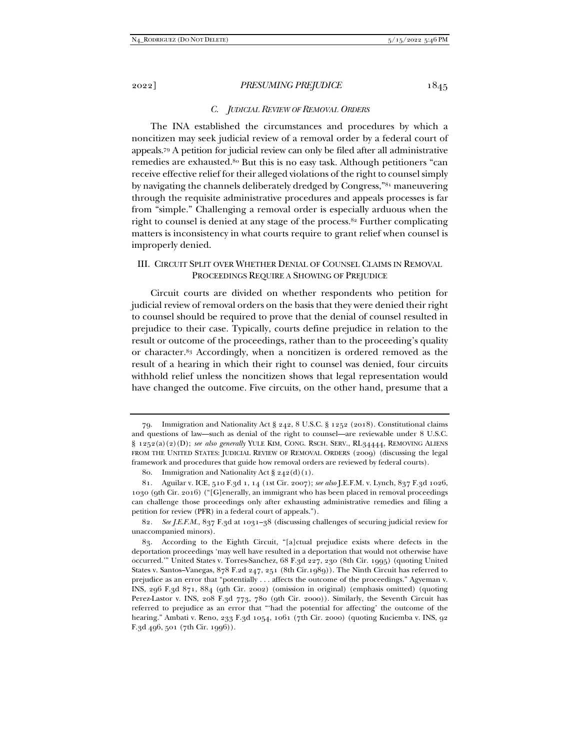#### *C. JUDICIAL REVIEW OF REMOVAL ORDERS*

The INA established the circumstances and procedures by which a noncitizen may seek judicial review of a removal order by a federal court of appeals.79 A petition for judicial review can only be filed after all administrative remedies are exhausted.80 But this is no easy task. Although petitioners "can receive effective relief for their alleged violations of the right to counsel simply by navigating the channels deliberately dredged by Congress,"81 maneuvering through the requisite administrative procedures and appeals processes is far from "simple." Challenging a removal order is especially arduous when the right to counsel is denied at any stage of the process.82 Further complicating matters is inconsistency in what courts require to grant relief when counsel is improperly denied.

## III. CIRCUIT SPLIT OVER WHETHER DENIAL OF COUNSEL CLAIMS IN REMOVAL PROCEEDINGS REQUIRE A SHOWING OF PREJUDICE

Circuit courts are divided on whether respondents who petition for judicial review of removal orders on the basis that they were denied their right to counsel should be required to prove that the denial of counsel resulted in prejudice to their case. Typically, courts define prejudice in relation to the result or outcome of the proceedings, rather than to the proceeding's quality or character.83 Accordingly, when a noncitizen is ordered removed as the result of a hearing in which their right to counsel was denied, four circuits withhold relief unless the noncitizen shows that legal representation would have changed the outcome. Five circuits, on the other hand, presume that a

 <sup>79.</sup> Immigration and Nationality Act § 242, 8 U.S.C. § 1252 (2018). Constitutional claims and questions of law—such as denial of the right to counsel—are reviewable under 8 U.S.C. § 1252(a)(2)(D); *see also generally* YULE KIM, CONG. RSCH. SERV., RL34444, REMOVING ALIENS FROM THE UNITED STATES: JUDICIAL REVIEW OF REMOVAL ORDERS (2009) (discussing the legal framework and procedures that guide how removal orders are reviewed by federal courts).

<sup>80.</sup> Immigration and Nationality Act  $\S 242(d)(1)$ .

 <sup>81.</sup> Aguilar v. ICE, 510 F.3d 1, 14 (1st Cir. 2007); *see also* J.E.F.M. v. Lynch, 837 F.3d 1026, 1030 (9th Cir. 2016) ("[G]enerally, an immigrant who has been placed in removal proceedings can challenge those proceedings only after exhausting administrative remedies and filing a petition for review (PFR) in a federal court of appeals.").

<sup>82</sup>*. See J.E.F.M.*, 837 F.3d at 1031–38 (discussing challenges of securing judicial review for unaccompanied minors).

 <sup>83.</sup> According to the Eighth Circuit, "[a]ctual prejudice exists where defects in the deportation proceedings 'may well have resulted in a deportation that would not otherwise have occurred.'" United States v. Torres-Sanchez, 68 F.3d 227, 230 (8th Cir. 1995) (quoting United States v. Santos–Vanegas, 878 F.2d 247, 251 (8th Cir.1989)). The Ninth Circuit has referred to prejudice as an error that "potentially . . . affects the outcome of the proceedings." Agyeman v. INS, 296 F.3d 871, 884 (9th Cir. 2002) (omission in original) (emphasis omitted) (quoting Perez-Lastor v. INS, 208 F.3d 773, 780 (9th Cir. 2000)). Similarly, the Seventh Circuit has referred to prejudice as an error that "'had the potential for affecting' the outcome of the hearing." Ambati v. Reno, 233 F.3d 1054, 1061 (7th Cir. 2000) (quoting Kuciemba v. INS, 92 F.3d 496, 501 (7th Cir. 1996)).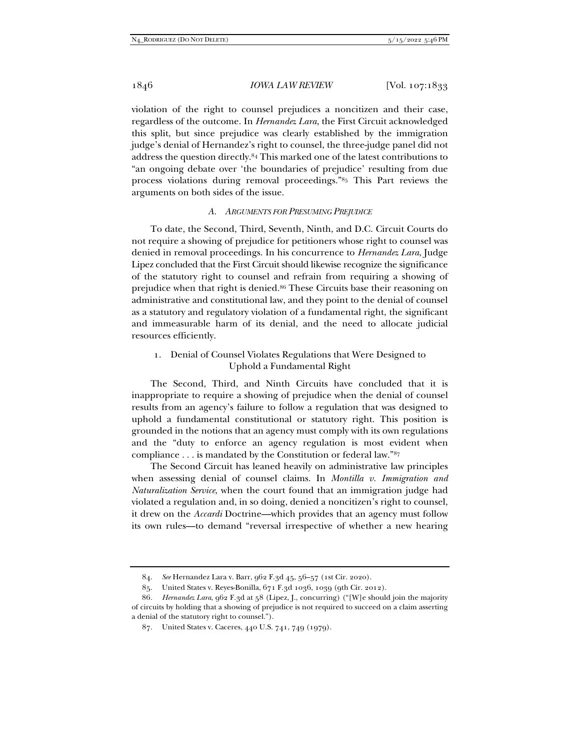violation of the right to counsel prejudices a noncitizen and their case, regardless of the outcome. In *Hernandez Lara*, the First Circuit acknowledged this split, but since prejudice was clearly established by the immigration judge's denial of Hernandez's right to counsel, the three-judge panel did not address the question directly.84 This marked one of the latest contributions to "an ongoing debate over 'the boundaries of prejudice' resulting from due process violations during removal proceedings."85 This Part reviews the arguments on both sides of the issue.

## *A. ARGUMENTS FOR PRESUMING PREJUDICE*

To date, the Second, Third, Seventh, Ninth, and D.C. Circuit Courts do not require a showing of prejudice for petitioners whose right to counsel was denied in removal proceedings. In his concurrence to *Hernandez Lara*, Judge Lipez concluded that the First Circuit should likewise recognize the significance of the statutory right to counsel and refrain from requiring a showing of prejudice when that right is denied.86 These Circuits base their reasoning on administrative and constitutional law, and they point to the denial of counsel as a statutory and regulatory violation of a fundamental right, the significant and immeasurable harm of its denial, and the need to allocate judicial resources efficiently.

# 1. Denial of Counsel Violates Regulations that Were Designed to Uphold a Fundamental Right

The Second, Third, and Ninth Circuits have concluded that it is inappropriate to require a showing of prejudice when the denial of counsel results from an agency's failure to follow a regulation that was designed to uphold a fundamental constitutional or statutory right. This position is grounded in the notions that an agency must comply with its own regulations and the "duty to enforce an agency regulation is most evident when compliance . . . is mandated by the Constitution or federal law."87

The Second Circuit has leaned heavily on administrative law principles when assessing denial of counsel claims. In *Montilla v. Immigration and Naturalization Service*, when the court found that an immigration judge had violated a regulation and, in so doing, denied a noncitizen's right to counsel, it drew on the *Accardi* Doctrine—which provides that an agency must follow its own rules—to demand "reversal irrespective of whether a new hearing

 <sup>84.</sup> *See* Hernandez Lara v. Barr, 962 F.3d 45, 56–57 (1st Cir. 2020).

 <sup>85.</sup> United States v. Reyes-Bonilla, 671 F.3d 1036, 1039 (9th Cir. 2012).

<sup>86</sup>*. Hernandez Lara*, 962 F.3d at 58 (Lipez, J., concurring) ("[W]e should join the majority of circuits by holding that a showing of prejudice is not required to succeed on a claim asserting a denial of the statutory right to counsel.").

 <sup>87.</sup> United States v. Caceres, 440 U.S. 741, 749 (1979).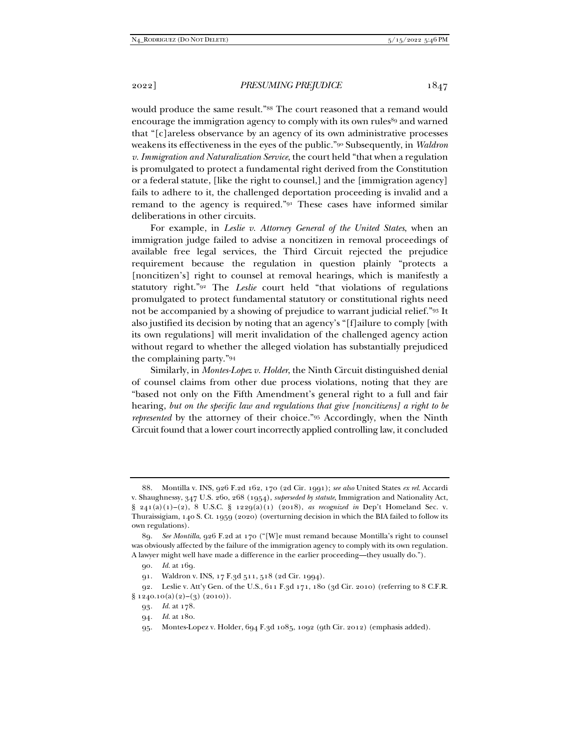would produce the same result."88 The court reasoned that a remand would encourage the immigration agency to comply with its own rules<sup>89</sup> and warned that "[c]areless observance by an agency of its own administrative processes weakens its effectiveness in the eyes of the public."90 Subsequently, in *Waldron v. Immigration and Naturalization Service*, the court held "that when a regulation is promulgated to protect a fundamental right derived from the Constitution or a federal statute, [like the right to counsel,] and the [immigration agency] fails to adhere to it, the challenged deportation proceeding is invalid and a remand to the agency is required."91 These cases have informed similar deliberations in other circuits.

For example, in *Leslie v. Attorney General of the United States*, when an immigration judge failed to advise a noncitizen in removal proceedings of available free legal services, the Third Circuit rejected the prejudice requirement because the regulation in question plainly "protects a [noncitizen's] right to counsel at removal hearings, which is manifestly a statutory right."92 The *Leslie* court held "that violations of regulations promulgated to protect fundamental statutory or constitutional rights need not be accompanied by a showing of prejudice to warrant judicial relief."93 It also justified its decision by noting that an agency's "[f]ailure to comply [with its own regulations] will merit invalidation of the challenged agency action without regard to whether the alleged violation has substantially prejudiced the complaining party."94

Similarly, in *Montes-Lopez v. Holder*, the Ninth Circuit distinguished denial of counsel claims from other due process violations, noting that they are "based not only on the Fifth Amendment's general right to a full and fair hearing, *but on the specific law and regulations that give [noncitizens] a right to be represented* by the attorney of their choice."95 Accordingly, when the Ninth Circuit found that a lower court incorrectly applied controlling law, it concluded

 <sup>88.</sup> Montilla v. INS, 926 F.2d 162, 170 (2d Cir. 1991); *see also* United States *ex rel.* Accardi v. Shaughnessy, 347 U.S. 260, 268 (1954), *superseded by statute*, Immigration and Nationality Act, § 241(a)(1)–(2), 8 U.S.C. § 1229(a)(1) (2018), *as recognized in* Dep't Homeland Sec. v. Thuraissigiam, 140 S. Ct. 1959 (2020) (overturning decision in which the BIA failed to follow its own regulations).

<sup>89</sup>*. See Montilla*, 926 F.2d at 170 ("[W]e must remand because Montilla's right to counsel was obviously affected by the failure of the immigration agency to comply with its own regulation. A lawyer might well have made a difference in the earlier proceeding—they usually do.").

<sup>90</sup>*. Id.* at 169*.*

 <sup>91.</sup> Waldron v. INS, 17 F.3d 511, 518 (2d Cir. 1994).

 <sup>92.</sup> Leslie v. Att'y Gen. of the U.S., 611 F.3d 171, 180 (3d Cir. 2010) (referring to 8 C.F.R.  $\S 1240.10(a)(2)-(3)(2010)$ .

<sup>93</sup>*. Id.* at 178.

<sup>94</sup>*. Id.* at 180.

 <sup>95.</sup> Montes-Lopez v. Holder, 694 F.3d 1085, 1092 (9th Cir. 2012) (emphasis added).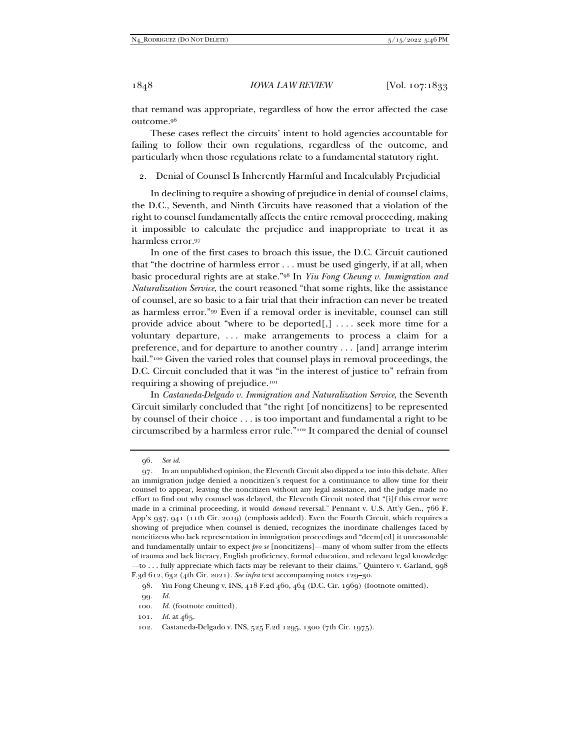that remand was appropriate, regardless of how the error affected the case outcome.96

These cases reflect the circuits' intent to hold agencies accountable for failing to follow their own regulations, regardless of the outcome, and particularly when those regulations relate to a fundamental statutory right.

2. Denial of Counsel Is Inherently Harmful and Incalculably Prejudicial

In declining to require a showing of prejudice in denial of counsel claims, the D.C., Seventh, and Ninth Circuits have reasoned that a violation of the right to counsel fundamentally affects the entire removal proceeding, making it impossible to calculate the prejudice and inappropriate to treat it as harmless error.97

In one of the first cases to broach this issue, the D.C. Circuit cautioned that "the doctrine of harmless error . . . must be used gingerly, if at all, when basic procedural rights are at stake."98 In *Yiu Fong Cheung v. Immigration and Naturalization Service*, the court reasoned "that some rights, like the assistance of counsel, are so basic to a fair trial that their infraction can never be treated as harmless error."99 Even if a removal order is inevitable, counsel can still provide advice about "where to be deported[,] . . . . seek more time for a voluntary departure, . . . make arrangements to process a claim for a preference, and for departure to another country . . . [and] arrange interim bail."100 Given the varied roles that counsel plays in removal proceedings, the D.C. Circuit concluded that it was "in the interest of justice to" refrain from requiring a showing of prejudice.101

In *Castaneda-Delgado v. Immigration and Naturalization Service*, the Seventh Circuit similarly concluded that "the right [of noncitizens] to be represented by counsel of their choice . . . is too important and fundamental a right to be circumscribed by a harmless error rule."102 It compared the denial of counsel

<sup>96</sup>*. See id.*

 <sup>97.</sup> In an unpublished opinion, the Eleventh Circuit also dipped a toe into this debate. After an immigration judge denied a noncitizen's request for a continuance to allow time for their counsel to appear, leaving the noncitizen without any legal assistance, and the judge made no effort to find out why counsel was delayed, the Eleventh Circuit noted that "[i]f this error were made in a criminal proceeding, it would *demand* reversal." Pennant v. U.S. Att'y Gen., 766 F. App'x 937, 941 (11th Cir. 2019) (emphasis added). Even the Fourth Circuit, which requires a showing of prejudice when counsel is denied, recognizes the inordinate challenges faced by noncitizens who lack representation in immigration proceedings and "deem[ed] it unreasonable and fundamentally unfair to expect *pro se* [noncitizens]—many of whom suffer from the effects of trauma and lack literacy, English proficiency, formal education, and relevant legal knowledge —to . . . fully appreciate which facts may be relevant to their claims." Quintero v. Garland, 998 F.3d 612, 632 (4th Cir. 2021). *See infra* text accompanying notes 129–30.

 <sup>98.</sup> Yiu Fong Cheung v. INS, 418 F.2d 460, 464 (D.C. Cir. 1969) (footnote omitted).

<sup>99</sup>*. Id.*

<sup>100.</sup> Id. (footnote omitted).

<sup>101</sup>*. Id.* at 465.

 <sup>102.</sup> Castaneda-Delgado v. INS, 525 F.2d 1295, 1300 (7th Cir. 1975).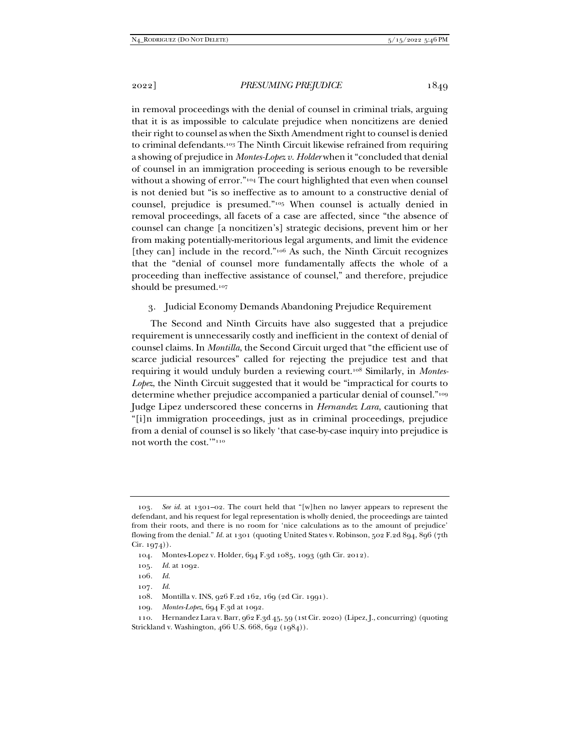in removal proceedings with the denial of counsel in criminal trials, arguing that it is as impossible to calculate prejudice when noncitizens are denied their right to counsel as when the Sixth Amendment right to counsel is denied to criminal defendants.103 The Ninth Circuit likewise refrained from requiring a showing of prejudice in *Montes-Lopez v. Holder* when it "concluded that denial of counsel in an immigration proceeding is serious enough to be reversible without a showing of error."<sup>104</sup> The court highlighted that even when counsel is not denied but "is so ineffective as to amount to a constructive denial of counsel, prejudice is presumed."105 When counsel is actually denied in removal proceedings, all facets of a case are affected, since "the absence of counsel can change [a noncitizen's] strategic decisions, prevent him or her from making potentially-meritorious legal arguments, and limit the evidence [they can] include in the record."<sup>106</sup> As such, the Ninth Circuit recognizes that the "denial of counsel more fundamentally affects the whole of a proceeding than ineffective assistance of counsel," and therefore, prejudice should be presumed.<sup>107</sup>

## 3. Judicial Economy Demands Abandoning Prejudice Requirement

The Second and Ninth Circuits have also suggested that a prejudice requirement is unnecessarily costly and inefficient in the context of denial of counsel claims. In *Montilla*, the Second Circuit urged that "the efficient use of scarce judicial resources" called for rejecting the prejudice test and that requiring it would unduly burden a reviewing court.108 Similarly, in *Montes-Lopez*, the Ninth Circuit suggested that it would be "impractical for courts to determine whether prejudice accompanied a particular denial of counsel."109 Judge Lipez underscored these concerns in *Hernandez Lara*, cautioning that "[i]n immigration proceedings, just as in criminal proceedings, prejudice from a denial of counsel is so likely 'that case-by-case inquiry into prejudice is not worth the cost.'"110

107*. Id.*

109*. Montes-Lopez*, 694 F.3d at 1092.

<sup>103</sup>*. See id.* at 1301–02. The court held that "[w]hen no lawyer appears to represent the defendant, and his request for legal representation is wholly denied, the proceedings are tainted from their roots, and there is no room for 'nice calculations as to the amount of prejudice' flowing from the denial." *Id.* at 1301 (quoting United States v. Robinson, 502 F.2d 894, 896 (7th Cir. 1974)).

 <sup>104.</sup> Montes-Lopez v. Holder, 694 F.3d 1085, 1093 (9th Cir. 2012).

<sup>105</sup>*. Id.* at 1092.

<sup>106</sup>*. Id.*

 <sup>108.</sup> Montilla v. INS, 926 F.2d 162, 169 (2d Cir. 1991).

 <sup>110.</sup> Hernandez Lara v. Barr, 962 F.3d 45, 59 (1st Cir. 2020) (Lipez, J., concurring) (quoting Strickland v. Washington, 466 U.S. 668, 692 (1984)).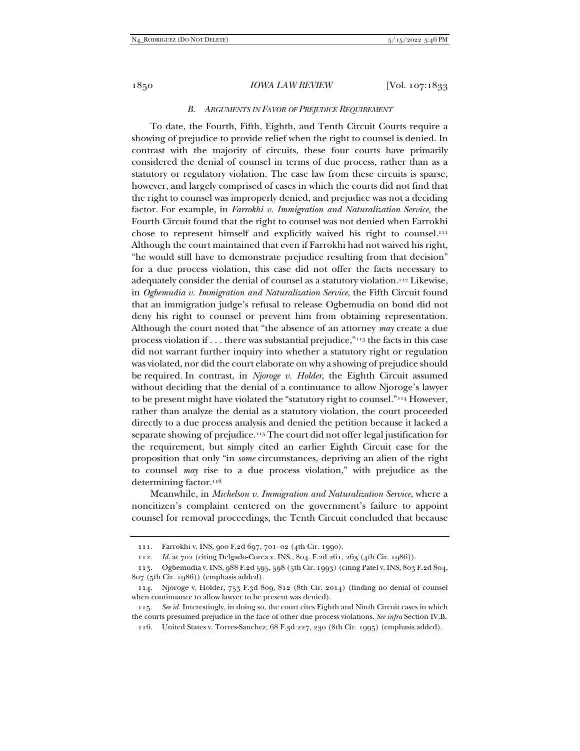## *B. ARGUMENTS IN FAVOR OF PREJUDICE REQUIREMENT*

To date, the Fourth, Fifth, Eighth, and Tenth Circuit Courts require a showing of prejudice to provide relief when the right to counsel is denied. In contrast with the majority of circuits, these four courts have primarily considered the denial of counsel in terms of due process, rather than as a statutory or regulatory violation. The case law from these circuits is sparse, however, and largely comprised of cases in which the courts did not find that the right to counsel was improperly denied, and prejudice was not a deciding factor. For example, in *Farrokhi v. Immigration and Naturalization Service,* the Fourth Circuit found that the right to counsel was not denied when Farrokhi chose to represent himself and explicitly waived his right to counsel.111 Although the court maintained that even if Farrokhi had not waived his right, "he would still have to demonstrate prejudice resulting from that decision" for a due process violation, this case did not offer the facts necessary to adequately consider the denial of counsel as a statutory violation.112 Likewise, in *Ogbemudia v. Immigration and Naturalization Service*, the Fifth Circuit found that an immigration judge's refusal to release Ogbemudia on bond did not deny his right to counsel or prevent him from obtaining representation. Although the court noted that "the absence of an attorney *may* create a due process violation if . . . there was substantial prejudice,"113 the facts in this case did not warrant further inquiry into whether a statutory right or regulation was violated, nor did the court elaborate on why a showing of prejudice should be required. In contrast, in *Njoroge v. Holder*, the Eighth Circuit assumed without deciding that the denial of a continuance to allow Njoroge's lawyer to be present might have violated the "statutory right to counsel."114 However, rather than analyze the denial as a statutory violation, the court proceeded directly to a due process analysis and denied the petition because it lacked a separate showing of prejudice.115 The court did not offer legal justification for the requirement, but simply cited an earlier Eighth Circuit case for the proposition that only "in *some* circumstances, depriving an alien of the right to counsel *may* rise to a due process violation," with prejudice as the determining factor.<sup>116</sup>

Meanwhile, in *Michelson v. Immigration and Naturalization Service*, where a noncitizen's complaint centered on the government's failure to appoint counsel for removal proceedings, the Tenth Circuit concluded that because

 <sup>111.</sup> Farrokhi v. INS, 900 F.2d 697, 701–02 (4th Cir. 1990).

<sup>112</sup>*. Id.* at 702 (citing Delgado-Corea v. INS., 804. F.2d 261, 263 (4th Cir. 1986)).

 <sup>113.</sup> Ogbemudia v. INS, 988 F.2d 595, 598 (5th Cir. 1993) (citing Patel v. INS, 803 F.2d 804, 807 (5th Cir. 1986)) (emphasis added).

 <sup>114.</sup> Njoroge v. Holder, 753 F.3d 809, 812 (8th Cir. 2014) (finding no denial of counsel when continuance to allow lawyer to be present was denied).

<sup>115</sup>*. See id.* Interestingly, in doing so, the court cites Eighth and Ninth Circuit cases in which the courts presumed prejudice in the face of other due process violations. *See infra* Section IV.B.

 <sup>116.</sup> United States v. Torres-Sanchez, 68 F.3d 227, 230 (8th Cir. 1995) (emphasis added).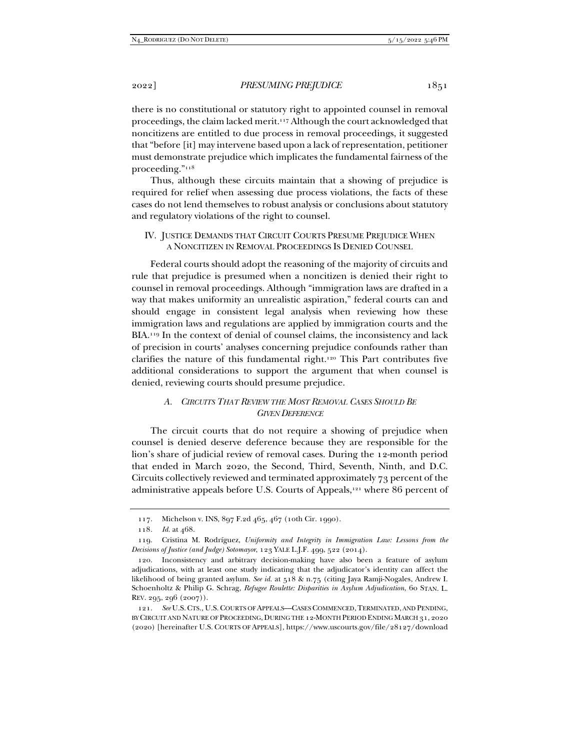there is no constitutional or statutory right to appointed counsel in removal proceedings, the claim lacked merit.117 Although the court acknowledged that noncitizens are entitled to due process in removal proceedings, it suggested that "before [it] may intervene based upon a lack of representation, petitioner must demonstrate prejudice which implicates the fundamental fairness of the proceeding."118

Thus, although these circuits maintain that a showing of prejudice is required for relief when assessing due process violations, the facts of these cases do not lend themselves to robust analysis or conclusions about statutory and regulatory violations of the right to counsel.

## IV. JUSTICE DEMANDS THAT CIRCUIT COURTS PRESUME PREJUDICE WHEN A NONCITIZEN IN REMOVAL PROCEEDINGS IS DENIED COUNSEL

Federal courts should adopt the reasoning of the majority of circuits and rule that prejudice is presumed when a noncitizen is denied their right to counsel in removal proceedings. Although "immigration laws are drafted in a way that makes uniformity an unrealistic aspiration," federal courts can and should engage in consistent legal analysis when reviewing how these immigration laws and regulations are applied by immigration courts and the BIA.119 In the context of denial of counsel claims, the inconsistency and lack of precision in courts' analyses concerning prejudice confounds rather than clarifies the nature of this fundamental right.120 This Part contributes five additional considerations to support the argument that when counsel is denied, reviewing courts should presume prejudice.

## *A. CIRCUITS THAT REVIEW THE MOST REMOVAL CASES SHOULD BE GIVEN DEFERENCE*

The circuit courts that do not require a showing of prejudice when counsel is denied deserve deference because they are responsible for the lion's share of judicial review of removal cases. During the 12-month period that ended in March 2020, the Second, Third, Seventh, Ninth, and D.C. Circuits collectively reviewed and terminated approximately 73 percent of the administrative appeals before U.S. Courts of Appeals,121 where 86 percent of

 <sup>117.</sup> Michelson v. INS, 897 F.2d 465, 467 (10th Cir. 1990).

<sup>118</sup>*. Id.* at 468.

 <sup>119.</sup> Cristina M. Rodríguez, *Uniformity and Integrity in Immigration Law: Lessons from the Decisions of Justice (and Judge) Sotomayor*, 123 YALE L.J.F. 499, 522 (2014).

 <sup>120.</sup> Inconsistency and arbitrary decision-making have also been a feature of asylum adjudications, with at least one study indicating that the adjudicator's identity can affect the likelihood of being granted asylum. *See id.* at 518 & n.75 (citing Jaya Ramji-Nogales, Andrew I. Schoenholtz & Philip G. Schrag, *Refugee Roulette: Disparities in Asylum Adjudication*, 60 STAN. L. REV. 295, 296 (2007)).

 <sup>121.</sup> *See* U.S.CTS., U.S.COURTS OF APPEALS––CASES COMMENCED,TERMINATED, AND PENDING, BY CIRCUIT AND NATURE OF PROCEEDING, DURING THE 12-MONTH PERIOD ENDING MARCH 31, 2020 (2020) [hereinafter U.S. COURTS OF APPEALS], https://www.uscourts.gov/file/28127/download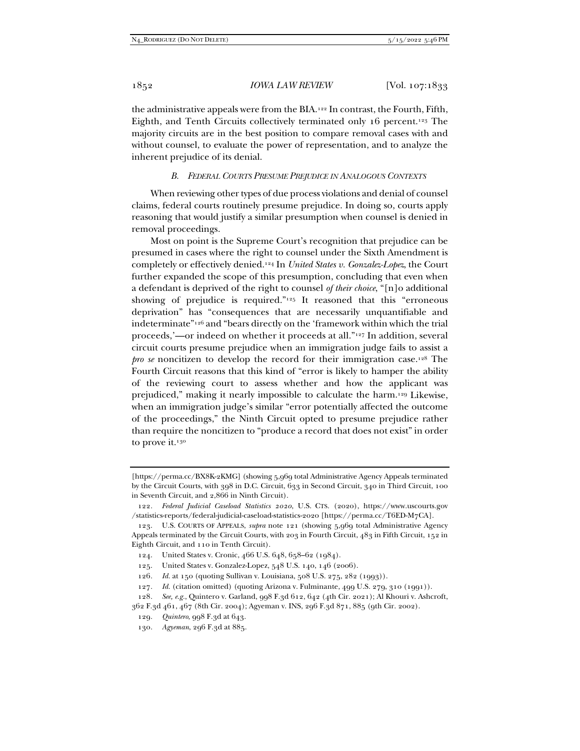the administrative appeals were from the BIA.122 In contrast, the Fourth, Fifth, Eighth, and Tenth Circuits collectively terminated only 16 percent.123 The majority circuits are in the best position to compare removal cases with and without counsel, to evaluate the power of representation, and to analyze the inherent prejudice of its denial.

## *B. FEDERAL COURTS PRESUME PREJUDICE IN ANALOGOUS CONTEXTS*

When reviewing other types of due process violations and denial of counsel claims, federal courts routinely presume prejudice. In doing so, courts apply reasoning that would justify a similar presumption when counsel is denied in removal proceedings.

Most on point is the Supreme Court's recognition that prejudice can be presumed in cases where the right to counsel under the Sixth Amendment is completely or effectively denied.124 In *United States v. Gonzalez-Lopez*, the Court further expanded the scope of this presumption, concluding that even when a defendant is deprived of the right to counsel *of their choice*, "[n]o additional showing of prejudice is required."125 It reasoned that this "erroneous deprivation" has "consequences that are necessarily unquantifiable and indeterminate"126 and "bears directly on the 'framework within which the trial proceeds,'—or indeed on whether it proceeds at all."127 In addition, several circuit courts presume prejudice when an immigration judge fails to assist a *pro se* noncitizen to develop the record for their immigration case.<sup>128</sup> The Fourth Circuit reasons that this kind of "error is likely to hamper the ability of the reviewing court to assess whether and how the applicant was prejudiced," making it nearly impossible to calculate the harm.129 Likewise, when an immigration judge's similar "error potentially affected the outcome of the proceedings," the Ninth Circuit opted to presume prejudice rather than require the noncitizen to "produce a record that does not exist" in order to prove it.<sup>130</sup>

- 125. United States v. Gonzalez-Lopez, 548 U.S. 140, 146 (2006).
- 126*. Id.* at 150 (quoting Sullivan v. Louisiana, 508 U.S. 275, 282 (1993)).
- 127*. Id.* (citation omitted) (quoting Arizona v. Fulminante, 499 U.S. 279, 310 (1991)).
- 128*. See, e.g.*, Quintero v. Garland, 998 F.3d 612, 642 (4th Cir. 2021); Al Khouri v. Ashcroft, 362 F.3d 461, 467 (8th Cir. 2004); Agyeman v. INS, 296 F.3d 871, 885 (9th Cir. 2002).

<sup>[</sup>https://perma.cc/BX8K-2KMG] (showing 5,969 total Administrative Agency Appeals terminated by the Circuit Courts, with 398 in D.C. Circuit, 633 in Second Circuit, 340 in Third Circuit, 100 in Seventh Circuit, and 2,866 in Ninth Circuit).

<sup>122</sup>*. Federal Judicial Caseload Statistics 2020*, U.S. CTS. (2020), https://www.uscourts.gov /statistics-reports/federal-judicial-caseload-statistics-2020 [https://perma.cc/T6ED-M7CA].

 <sup>123.</sup> U.S. COURTS OF APPEALS, *supra* note 121 (showing 5,969 total Administrative Agency Appeals terminated by the Circuit Courts, with 203 in Fourth Circuit, 483 in Fifth Circuit, 152 in Eighth Circuit, and 110 in Tenth Circuit).

 <sup>124.</sup> United States v. Cronic, 466 U.S. 648, 658–62 (1984).

<sup>129</sup>*. Quintero*, 998 F.3d at 643.

<sup>130</sup>*. Agyeman*, 296 F.3d at 885.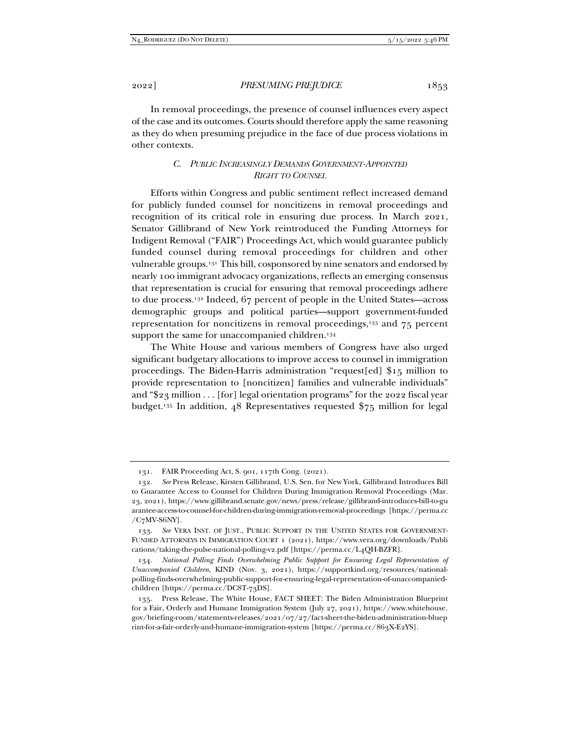In removal proceedings, the presence of counsel influences every aspect of the case and its outcomes. Courts should therefore apply the same reasoning as they do when presuming prejudice in the face of due process violations in other contexts.

## *C. PUBLIC INCREASINGLY DEMANDS GOVERNMENT-APPOINTED RIGHT TO COUNSEL*

Efforts within Congress and public sentiment reflect increased demand for publicly funded counsel for noncitizens in removal proceedings and recognition of its critical role in ensuring due process. In March 2021, Senator Gillibrand of New York reintroduced the Funding Attorneys for Indigent Removal ("FAIR") Proceedings Act, which would guarantee publicly funded counsel during removal proceedings for children and other vulnerable groups.131 This bill, cosponsored by nine senators and endorsed by nearly 100 immigrant advocacy organizations, reflects an emerging consensus that representation is crucial for ensuring that removal proceedings adhere to due process.132 Indeed, 67 percent of people in the United States—across demographic groups and political parties—support government-funded representation for noncitizens in removal proceedings,133 and 75 percent support the same for unaccompanied children.<sup>134</sup>

The White House and various members of Congress have also urged significant budgetary allocations to improve access to counsel in immigration proceedings. The Biden-Harris administration "request[ed] \$15 million to provide representation to [noncitizen] families and vulnerable individuals" and "\$23 million . . . [for] legal orientation programs" for the 2022 fiscal year budget.135 In addition, 48 Representatives requested \$75 million for legal

 <sup>131.</sup> FAIR Proceeding Act, S. 901, 117th Cong. (2021).

 <sup>132.</sup> *See* Press Release, Kirsten Gillibrand, U.S. Sen. for New York, Gillibrand Introduces Bill to Guarantee Access to Counsel for Children During Immigration Removal Proceedings (Mar. 23, 2021), https://www.gillibrand.senate.gov/news/press/release/gillibrand-introduces-bill-to-gu arantee-access-to-counsel-for-children-during-immigration-removal-proceedings [https://perma.cc  $/C<sub>7</sub>MV-S6NY$ ].

<sup>133.</sup> See VERA INST. OF JUST., PUBLIC SUPPORT IN THE UNITED STATES FOR GOVERNMENT-FUNDED ATTORNEYS IN IMMIGRATION COURT 1 (2021), https://www.vera.org/downloads/Publi cations/taking-the-pulse-national-polling-v2.pdf [https://perma.cc/L4QH-BZFR].

<sup>134</sup>*. National Polling Finds Overwhelming Public Support for Ensuring Legal Representation of Unaccompanied Children*, KIND (Nov. 3, 2021), https://supportkind.org/resources/nationalpolling-finds-overwhelming-public-support-for-ensuring-legal-representation-of-unaccompaniedchildren [https://perma.cc/DC8T-73DS].

 <sup>135.</sup> Press Release, The White House, FACT SHEET: The Biden Administration Blueprint for a Fair, Orderly and Humane Immigration System (July 27, 2021), https://www.whitehouse. gov/briefing-room/statements-releases/2021/07/27/fact-sheet-the-biden-administration-bluep rint-for-a-fair-orderly-and-humane-immigration-system [https://perma.cc/863X-E2YS].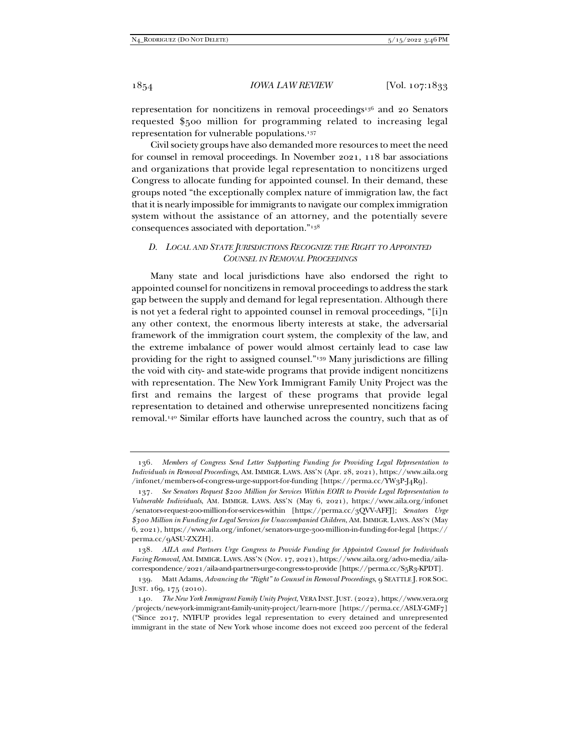representation for noncitizens in removal proceedings<sup>136</sup> and 20 Senators requested \$500 million for programming related to increasing legal representation for vulnerable populations.137

Civil society groups have also demanded more resources to meet the need for counsel in removal proceedings. In November 2021, 118 bar associations and organizations that provide legal representation to noncitizens urged Congress to allocate funding for appointed counsel. In their demand, these groups noted "the exceptionally complex nature of immigration law, the fact that it is nearly impossible for immigrants to navigate our complex immigration system without the assistance of an attorney, and the potentially severe consequences associated with deportation."138

# *D. LOCAL AND STATE JURISDICTIONS RECOGNIZE THE RIGHT TO APPOINTED COUNSEL IN REMOVAL PROCEEDINGS*

Many state and local jurisdictions have also endorsed the right to appointed counsel for noncitizens in removal proceedings to address the stark gap between the supply and demand for legal representation. Although there is not yet a federal right to appointed counsel in removal proceedings, "[i]n any other context, the enormous liberty interests at stake, the adversarial framework of the immigration court system, the complexity of the law, and the extreme imbalance of power would almost certainly lead to case law providing for the right to assigned counsel."139 Many jurisdictions are filling the void with city- and state-wide programs that provide indigent noncitizens with representation. The New York Immigrant Family Unity Project was the first and remains the largest of these programs that provide legal representation to detained and otherwise unrepresented noncitizens facing removal.140 Similar efforts have launched across the country, such that as of

<sup>136</sup>*. Members of Congress Send Letter Supporting Funding for Providing Legal Representation to Individuals in Removal Proceedings*, AM. IMMIGR. LAWS. ASS'N (Apr. 28, 2021), https://www.aila.org /infonet/members-of-congress-urge-support-for-funding [https://perma.cc/YW3P-J4R9].

<sup>137</sup>*. See Senators Request \$200 Million for Services Within EOIR to Provide Legal Representation to Vulnerable Individuals*, AM. IMMIGR. LAWS. ASS'N (May 6, 2021), https://www.aila.org/infonet /senators-request-200-million-for-services-within [https://perma.cc/3QVV-AFFJ]; *Senators Urge \$300 Million in Funding for Legal Services for Unaccompanied Children*, AM. IMMIGR. LAWS. ASS'N (May 6, 2021), https://www.aila.org/infonet/senators-urge-300-million-in-funding-for-legal [https:// perma.cc/9ASU-ZXZH].

<sup>138</sup>*. AILA and Partners Urge Congress to Provide Funding for Appointed Counsel for Individuals Facing Removal*, AM.IMMIGR. LAWS. ASS'N (Nov. 17, 2021), https://www.aila.org/advo-media/ailacorrespondence/2021/aila-and-partners-urge-congress-to-provide [https://perma.cc/S5R3-KPDT].

 <sup>139.</sup> Matt Adams, *Advancing the "Right" to Counsel in Removal Proceedings*, 9 SEATTLE J. FOR SOC. JUST. 169, 175 (2010).

<sup>140</sup>*. The New York Immigrant Family Unity Project*, VERA INST. JUST. (2022), https://www.vera.org /projects/new-york-immigrant-family-unity-project/learn-more [https://perma.cc/A8LY-GMF7] ("Since 2017, NYIFUP provides legal representation to every detained and unrepresented immigrant in the state of New York whose income does not exceed 200 percent of the federal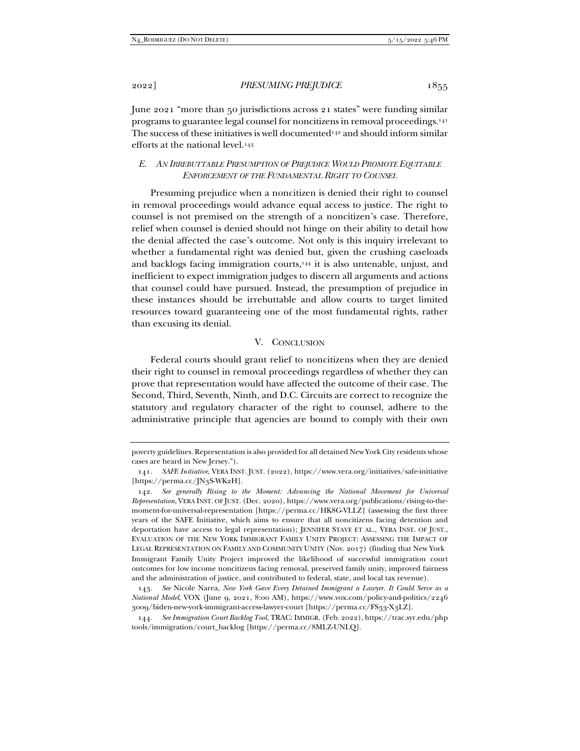June 2021 "more than 50 jurisdictions across 21 states" were funding similar programs to guarantee legal counsel for noncitizens in removal proceedings.141 The success of these initiatives is well documented<sup>142</sup> and should inform similar efforts at the national level.143

## *E. AN IRREBUTTABLE PRESUMPTION OF PREJUDICE WOULD PROMOTE EQUITABLE ENFORCEMENT OF THE FUNDAMENTAL RIGHT TO COUNSEL*

Presuming prejudice when a noncitizen is denied their right to counsel in removal proceedings would advance equal access to justice. The right to counsel is not premised on the strength of a noncitizen's case. Therefore, relief when counsel is denied should not hinge on their ability to detail how the denial affected the case's outcome. Not only is this inquiry irrelevant to whether a fundamental right was denied but, given the crushing caseloads and backlogs facing immigration courts,<sup>144</sup> it is also untenable, unjust, and inefficient to expect immigration judges to discern all arguments and actions that counsel could have pursued. Instead, the presumption of prejudice in these instances should be irrebuttable and allow courts to target limited resources toward guaranteeing one of the most fundamental rights, rather than excusing its denial.

## V. CONCLUSION

Federal courts should grant relief to noncitizens when they are denied their right to counsel in removal proceedings regardless of whether they can prove that representation would have affected the outcome of their case. The Second, Third, Seventh, Ninth, and D.C. Circuits are correct to recognize the statutory and regulatory character of the right to counsel, adhere to the administrative principle that agencies are bound to comply with their own

poverty guidelines. Representation is also provided for all detained New York City residents whose cases are heard in New Jersey.").

<sup>141</sup>*. SAFE Initiative*, VERA INST. JUST. (2022), https://www.vera.org/initiatives/safe-initiative [https://perma.cc/JN3S-WK2H].

<sup>142</sup>*. See generally Rising to the Moment: Advancing the National Movement for Universal Representation*, VERA INST. OF JUST. (Dec. 2020), https://www.vera.org/publications/rising-to-themoment-for-universal-representation [https://perma.cc/HK8G-VLLZ] (assessing the first three years of the SAFE Initiative, which aims to ensure that all noncitizens facing detention and deportation have access to legal representation); JENNIFER STAVE ET AL., VERA INST. OF JUST., EVALUATION OF THE NEW YORK IMMIGRANT FAMILY UNITY PROJECT: ASSESSING THE IMPACT OF LEGAL REPRESENTATION ON FAMILY AND COMMUNITY UNITY (Nov. 2017) (finding that New York Immigrant Family Unity Project improved the likelihood of successful immigration court outcomes for low income noncitizens facing removal, preserved family unity, improved fairness and the administration of justice, and contributed to federal, state, and local tax revenue).

 <sup>143.</sup> *See* Nicole Narea, *New York Gave Every Detained Immigrant a Lawyer. It Could Serve as a National Model*, VOX (June 9, 2021, 8:00 AM), https://www.vox.com/policy-and-politics/2246 3009/biden-new-york-immigrant-access-lawyer-court [https://perma.cc/FS33-X3LZ].

<sup>144</sup>*. See Immigration Court Backlog Tool*, TRAC: IMMIGR. (Feb. 2022), https://trac.syr.edu/php tools/immigration/court\_backlog [https://perma.cc/8MLZ-UNLQ].